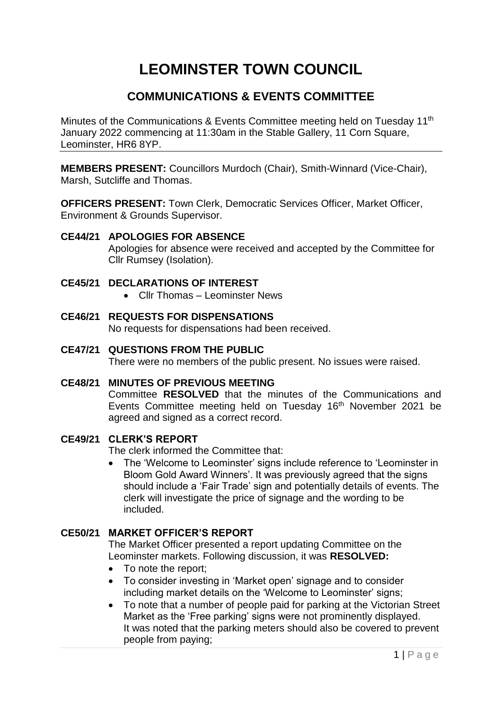# **LEOMINSTER TOWN COUNCIL**

## **COMMUNICATIONS & EVENTS COMMITTEE**

Minutes of the Communications & Events Committee meeting held on Tuesday 11th January 2022 commencing at 11:30am in the Stable Gallery, 11 Corn Square, Leominster, HR6 8YP.

**MEMBERS PRESENT:** Councillors Murdoch (Chair), Smith-Winnard (Vice-Chair), Marsh, Sutcliffe and Thomas.

**OFFICERS PRESENT:** Town Clerk, Democratic Services Officer, Market Officer, Environment & Grounds Supervisor.

## **CE44/21 APOLOGIES FOR ABSENCE**

Apologies for absence were received and accepted by the Committee for Cllr Rumsey (Isolation).

#### **CE45/21 DECLARATIONS OF INTEREST**

- Cllr Thomas Leominster News
- **CE46/21 REQUESTS FOR DISPENSATIONS** No requests for dispensations had been received.
- **CE47/21 QUESTIONS FROM THE PUBLIC** There were no members of the public present. No issues were raised.
- **CE48/21 MINUTES OF PREVIOUS MEETING** Committee **RESOLVED** that the minutes of the Communications and Events Committee meeting held on Tuesday 16<sup>th</sup> November 2021 be agreed and signed as a correct record.

## **CE49/21 CLERK'S REPORT**

The clerk informed the Committee that:

 The 'Welcome to Leominster' signs include reference to 'Leominster in Bloom Gold Award Winners'. It was previously agreed that the signs should include a 'Fair Trade' sign and potentially details of events. The clerk will investigate the price of signage and the wording to be included.

## **CE50/21 MARKET OFFICER'S REPORT**

The Market Officer presented a report updating Committee on the Leominster markets. Following discussion, it was **RESOLVED:**

- To note the report;
- To consider investing in 'Market open' signage and to consider including market details on the 'Welcome to Leominster' signs;
- To note that a number of people paid for parking at the Victorian Street Market as the 'Free parking' signs were not prominently displayed. It was noted that the parking meters should also be covered to prevent people from paying;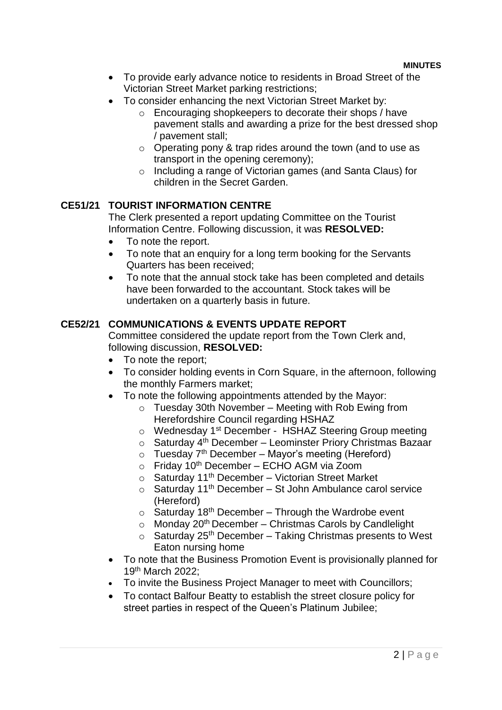- To provide early advance notice to residents in Broad Street of the Victorian Street Market parking restrictions;
- To consider enhancing the next Victorian Street Market by:
	- o Encouraging shopkeepers to decorate their shops / have pavement stalls and awarding a prize for the best dressed shop / pavement stall;
	- o Operating pony & trap rides around the town (and to use as transport in the opening ceremony);
	- o Including a range of Victorian games (and Santa Claus) for children in the Secret Garden.

## **CE51/21 TOURIST INFORMATION CENTRE**

The Clerk presented a report updating Committee on the Tourist Information Centre. Following discussion, it was **RESOLVED:**

- To note the report.
- To note that an enquiry for a long term booking for the Servants Quarters has been received;
- To note that the annual stock take has been completed and details have been forwarded to the accountant. Stock takes will be undertaken on a quarterly basis in future.

## **CE52/21 COMMUNICATIONS & EVENTS UPDATE REPORT**

Committee considered the update report from the Town Clerk and, following discussion, **RESOLVED:**

- To note the report;
- To consider holding events in Corn Square, in the afternoon, following the monthly Farmers market;
- To note the following appointments attended by the Mayor:
	- $\circ$  Tuesday 30th November Meeting with Rob Ewing from Herefordshire Council regarding HSHAZ
	- o Wednesday 1st December HSHAZ Steering Group meeting
	- $\circ$  Saturday 4<sup>th</sup> December Leominster Priory Christmas Bazaar
	- $\circ$  Tuesday 7<sup>th</sup> December Mayor's meeting (Hereford)
	- $\circ$  Friday 10<sup>th</sup> December ECHO AGM via Zoom
	- $\circ$  Saturday 11<sup>th</sup> December Victorian Street Market
	- $\circ$  Saturday 11<sup>th</sup> December St John Ambulance carol service (Hereford)
	- $\circ$  Saturday 18<sup>th</sup> December Through the Wardrobe event
	- $\circ$  Monday 20<sup>th</sup> December Christmas Carols by Candlelight
	- $\circ$  Saturday 25<sup>th</sup> December Taking Christmas presents to West Eaton nursing home
- To note that the Business Promotion Event is provisionally planned for 19th March 2022;
- To invite the Business Project Manager to meet with Councillors;
- To contact Balfour Beatty to establish the street closure policy for street parties in respect of the Queen's Platinum Jubilee;